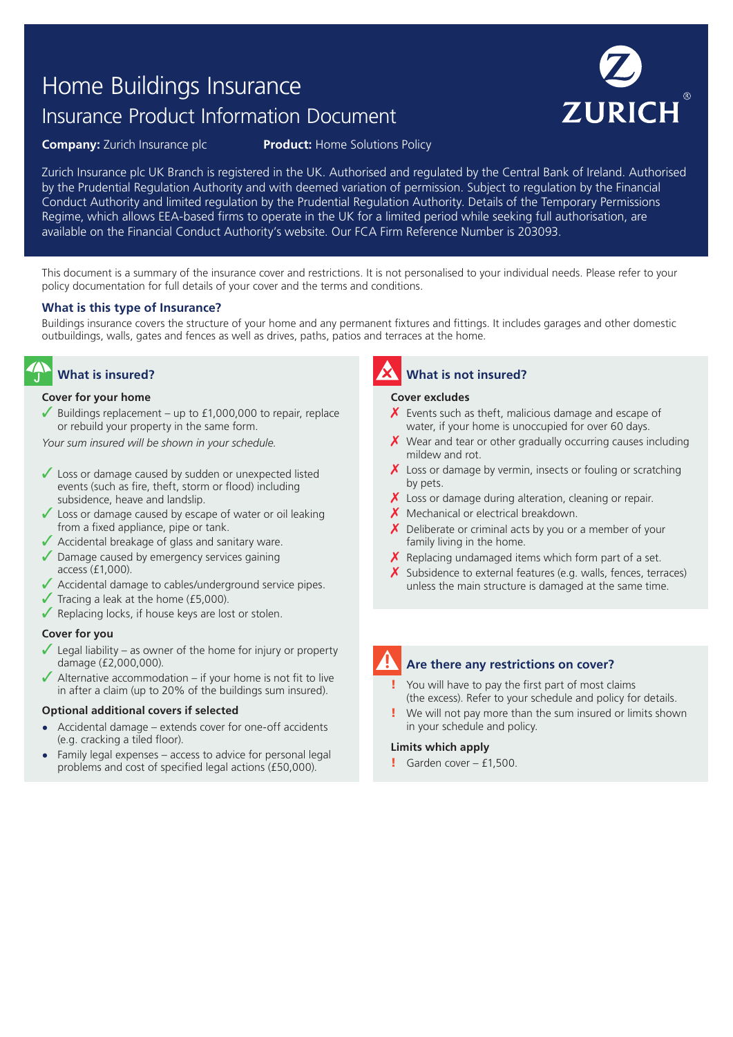# Home Buildings Insurance Insurance Product Information Document



**Company:** Zurich Insurance plc **Product:** Home Solutions Policy

Zurich Insurance plc UK Branch is registered in the UK. Authorised and regulated by the Central Bank of Ireland. Authorised by the Prudential Regulation Authority and with deemed variation of permission. Subject to regulation by the Financial Conduct Authority and limited regulation by the Prudential Regulation Authority. Details of the Temporary Permissions Regime, which allows EEA-based firms to operate in the UK for a limited period while seeking full authorisation, are available on the Financial Conduct Authority's website. Our FCA Firm Reference Number is 203093.

This document is a summary of the insurance cover and restrictions. It is not personalised to your individual needs. Please refer to your policy documentation for full details of your cover and the terms and conditions.

### **What is this type of Insurance?**

Buildings insurance covers the structure of your home and any permanent fixtures and fittings. It includes garages and other domestic outbuildings, walls, gates and fences as well as drives, paths, patios and terraces at the home.

# **What is insured?**

#### **Cover for your home**

Buildings replacement – up to  $£1,000,000$  to repair, replace or rebuild your property in the same form.

*Your sum insured will be shown in your schedule.*

- $\sqrt{\ }$  Loss or damage caused by sudden or unexpected listed events (such as fire, theft, storm or flood) including subsidence, heave and landslip.
- $\sqrt{\ }$  Loss or damage caused by escape of water or oil leaking from a fixed appliance, pipe or tank.
- ◆ Accidental breakage of glass and sanitary ware.
- $\sqrt{\ }$  Damage caused by emergency services gaining access (£1,000).
- ✓ Accidental damage to cables/underground service pipes.
- $\sqrt{\ }$  Tracing a leak at the home (£5,000).
- $\sqrt{\ }$  Replacing locks, if house keys are lost or stolen.

### **Cover for you**

- Legal liability as owner of the home for injury or property damage (£2,000,000).
- $\blacktriangleright$  Alternative accommodation if your home is not fit to live in after a claim (up to 20% of the buildings sum insured).

#### **Optional additional covers if selected**

- **•** Accidental damage extends cover for one-off accidents (e.g. cracking a tiled floor).
- **•** Family legal expenses access to advice for personal legal problems and cost of specified legal actions (£50,000).

# **What is not insured?**

#### **Cover excludes**

- $\chi$  Events such as theft, malicious damage and escape of water, if your home is unoccupied for over 60 days.
- $\chi$  Wear and tear or other gradually occurring causes including mildew and rot.
- $\boldsymbol{X}$  Loss or damage by vermin, insects or fouling or scratching by pets.
- $\chi$  Loss or damage during alteration, cleaning or repair.
- X Mechanical or electrical breakdown.
- $\chi$  Deliberate or criminal acts by you or a member of your family living in the home.
- $\boldsymbol{X}$  Replacing undamaged items which form part of a set.
- $\boldsymbol{X}$  Subsidence to external features (e.g. walls, fences, terraces) unless the main structure is damaged at the same time.

# **Are there any restrictions on cover?**

You will have to pay the first part of most claims (the excess). Refer to your schedule and policy for details.

We will not pay more than the sum insured or limits shown in your schedule and policy.

#### **Limits which apply**

 $\blacksquare$  Garden cover - £1,500.